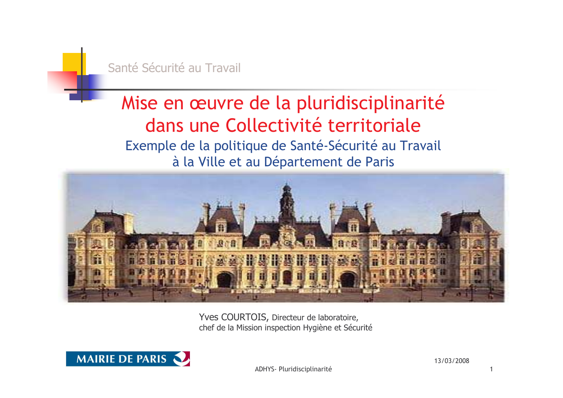

# Mise en œuvre de la pluridisciplinarité dans une Collectivité territoriale Exemple de la politique de Santé-Sécurité au Travail à la Ville et au Département de Paris



Yves COURTOIS, Directeur de laboratoire, chef de la Mission inspection Hygiène et Sécurité



ADHYS- Pluridisciplinarité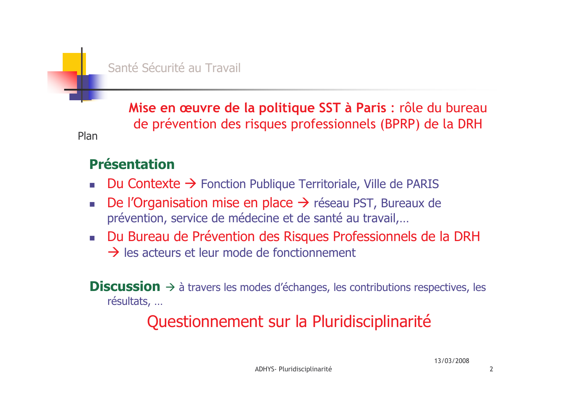Mise en œuvre de la politique SST à Paris : rôle du bureau de prévention des risques professionnels (BPRP) de la DRH

#### **Présentation**

Plan

- Du Contexte  $\rightarrow$  Fonction Publique Territoriale, Ville de PARIS
- De l'Organisation mise en place  $\rightarrow$  réseau PST, Bureaux de prévention, service de médecine et de santé au travail,...
- Du Bureau de Prévention des Risques Professionnels de la DRH  $\rightarrow$  les acteurs et leur mode de fonctionnement

**Discussion**  $\rightarrow$  à travers les modes d'échanges, les contributions respectives, les résultats, ...

# Questionnement sur la Pluridisciplinarité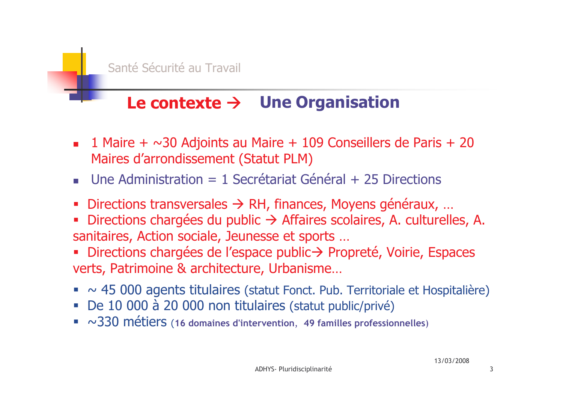

# Le contexte  $\rightarrow$  Une Organisation

- 1 Maire +  $\sim$ 30 Adjoints au Maire + 109 Conseillers de Paris + 20  $\overline{\phantom{a}}$ Maires d'arrondissement (Statut PLM)
- Une Administration = 1 Secrétariat Général + 25 Directions
- Directions transversales  $\rightarrow$  RH, finances, Moyens généraux, ...
- Directions chargées du public  $\rightarrow$  Affaires scolaires, A. culturelles, A. sanitaires, Action sociale, Jeunesse et sports ...
- Directions chargées de l'espace public→ Propreté, Voirie, Espaces verts, Patrimoine & architecture, Urbanisme...
- $\sim$  45 000 agents titulaires (statut Fonct. Pub. Territoriale et Hospitalière)
- De 10 000 à 20 000 non titulaires (statut public/privé)
- $\sim$  330 métiers (16 domaines d'intervention, 49 familles professionnelles)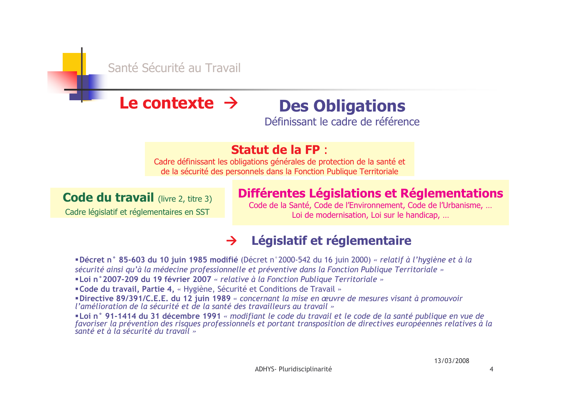

#### Le contexte  $\rightarrow$ **Des Obligations**

Définissant le cadre de référence

#### **Statut de la FP:**

Cadre définissant les obligations générales de protection de la santé et de la sécurité des personnels dans la Fonction Publique Territoriale

#### **Code du travail** (livre 2, titre 3)

Cadre législatif et réglementaires en SST

#### Différentes Législations et Réglementations

Code de la Santé, Code de l'Environnement, Code de l'Urbanisme, ... Loi de modernisation, Loi sur le handicap, ...

#### Législatif et réglementaire  $\rightarrow$

"Décret n° 85-603 du 10 juin 1985 modifié (Décret n°2000-542 du 16 juin 2000) « relatif à l'hygiène et à la sécurité ainsi qu'à la médecine professionnelle et préventive dans la Fonction Publique Territoriale »

"Loi n° 2007-209 du 19 février 2007 « relative à la Fonction Publique Territoriale »

"Code du travail, Partie 4, « Hygiène, Sécurité et Conditions de Travail »

**■Directive 89/391/C.E.E. du 12 juin 1989** « concernant la mise en œuvre de mesures visant à promouvoir l'amélioration de la sécurité et de la santé des travailleurs au travail »

"Loi n° 91-1414 du 31 décembre 1991 « modifiant le code du travail et le code de la santé publique en vue de favoriser la prévention des risques professionnéls et portant transposition de directives européennes relatives à la santé et à la sécurité du travail »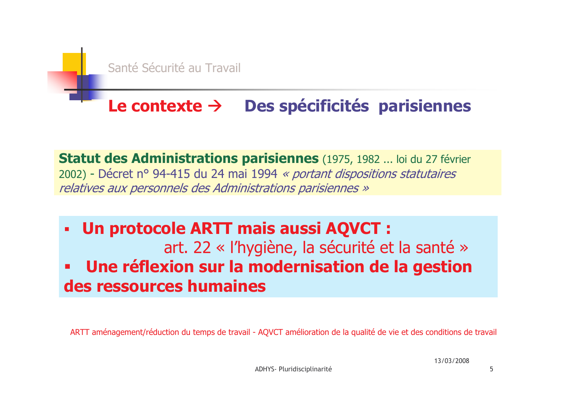

# Le contexte  $\rightarrow$  Des spécificités parisiennes

Statut des Administrations parisiennes (1975, 1982 ... loi du 27 février 2002) - Décret nº 94-415 du 24 mai 1994 « portant dispositions statutaires relatives aux personnels des Administrations parisiennes »

Un protocole ARTT mais aussi AQVCT :  $\blacksquare$ art. 22 « l'hygiène, la sécurité et la santé » Une réflexion sur la modernisation de la gestion des ressources humaines

ARTT aménagement/réduction du temps de travail - AQVCT amélioration de la qualité de vie et des conditions de travail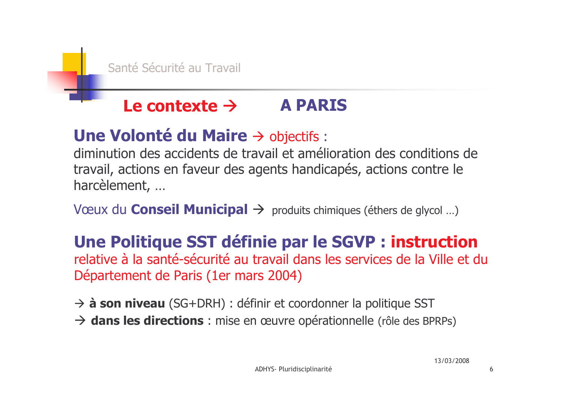#### Le contexte  $\rightarrow$ **A PARIS**

## Une Volonté du Maire  $\rightarrow$  objectifs :

diminution des accidents de travail et amélioration des conditions de travail, actions en faveur des agents handicapés, actions contre le harcèlement, ...

Vœux du **Conseil Municipal**  $\rightarrow$  produits chimiques (éthers de glycol ...)

# Une Politique SST définie par le SGVP : instruction

relative à la santé-sécurité au travail dans les services de la Ville et du Département de Paris (1er mars 2004)

 $\rightarrow$  **à son niveau** (SG+DRH) : définir et coordonner la politique SST

 $\rightarrow$  dans les directions : mise en œuvre opérationnelle (rôle des BPRPs)

6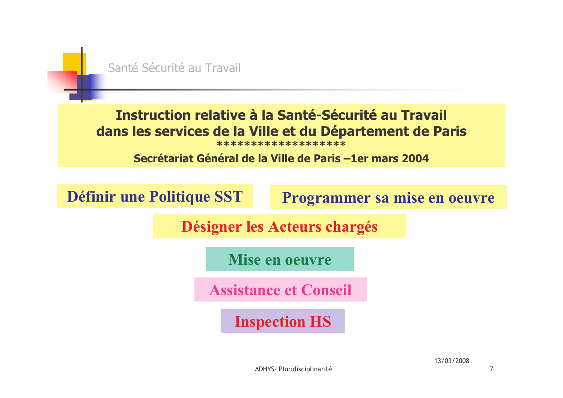

 $\overline{7}$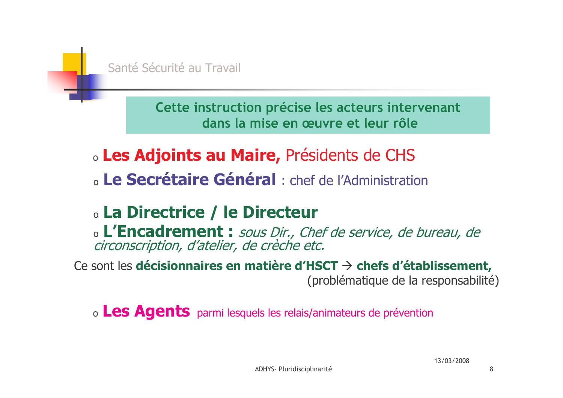

Cette instruction précise les acteurs intervenant dans la mise en œuvre et leur rôle

- **Les Adjoints au Maire, Présidents de CHS**
- o Le Secrétaire Général : chef de l'Administration

# **La Directrice / le Directeur**

o L'Encadrement : sous Dir., Chef de service, de bureau, de circonscription, d'atelier, de crèche etc.

Ce sont les décisionnaires en matière d'HSCT  $\rightarrow$  chefs d'établissement, (problématique de la responsabilité)

o Les Agents parmi lesquels les relais/animateurs de prévention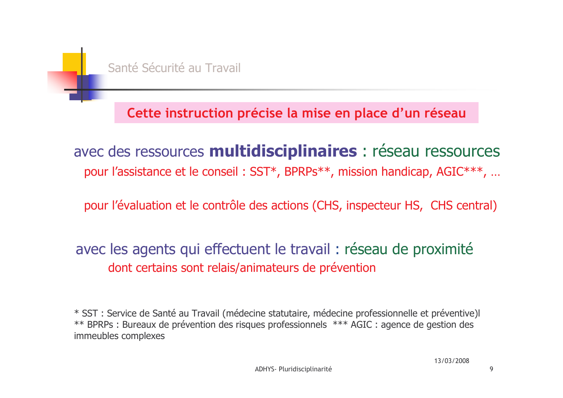Cette instruction précise la mise en place d'un réseau

avec des ressources multidisciplinaires : réseau ressources pour l'assistance et le conseil : SST\*, BPRPs\*\*, mission handicap, AGIC\*\*\*, ...

pour l'évaluation et le contrôle des actions (CHS, inspecteur HS, CHS central)

avec les agents qui effectuent le travail : réseau de proximité dont certains sont relais/animateurs de prévention

\* SST : Service de Santé au Travail (médecine statutaire, médecine professionnelle et préventive)l \*\* BPRPs : Bureaux de prévention des risques professionnels \*\*\* AGIC : agence de gestion des immeubles complexes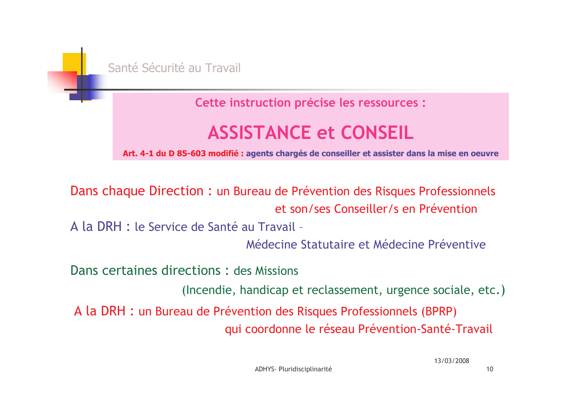

Cette instruction précise les ressources :

# **ASSISTANCE et CONSEIL**

Art. 4-1 du D 85-603 modifié : agents chargés de conseiller et assister dans la mise en oeuvre

Dans chaque Direction : un Bureau de Prévention des Risques Professionnels et son/ses Conseiller/s en Prévention

A la DRH : le Service de Santé au Travail -

Médecine Statutaire et Médecine Préventive

Dans certaines directions: des Missions

(Incendie, handicap et reclassement, urgence sociale, etc.)

A la DRH : un Bureau de Prévention des Risques Professionnels (BPRP) qui coordonne le réseau Prévention-Santé-Travail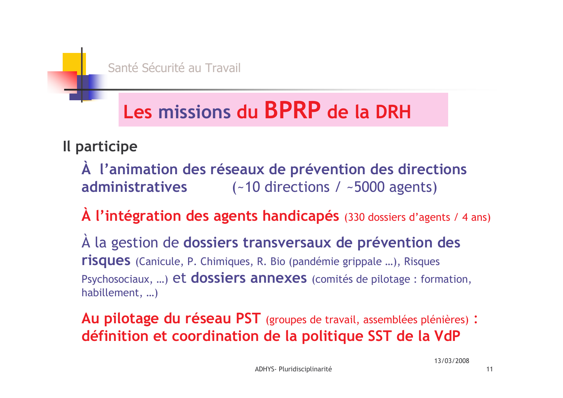# Les missions du BPRP de la DRH

## Il participe

- À l'animation des réseaux de prévention des directions **administratives**  $(-10$  directions /  $\sim$  5000 agents)
- A l'intégration des agents handicapés (330 dossiers d'agents / 4 ans)

A la gestion de dossiers transversaux de prévention des **risques** (Canicule, P. Chimiques, R. Bio (pandémie grippale ...), Risques Psychosociaux, ...) et dossiers annexes (comités de pilotage : formation, habillement, ...)

Au pilotage du réseau PST (groupes de travail, assemblées plénières) : définition et coordination de la politique SST de la VdP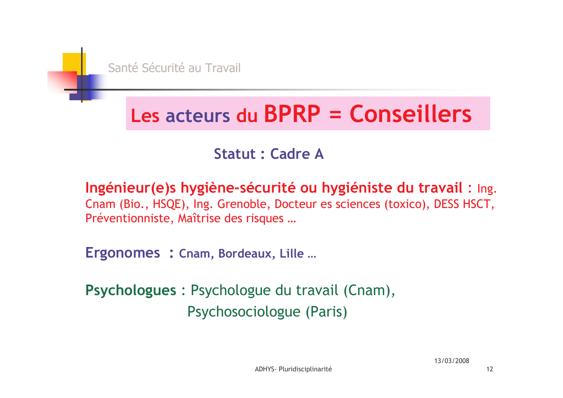# Les acteurs du BPRP = Conseillers

## **Statut : Cadre A**

Ingénieur (e) s hygiène-sécurité ou hygiéniste du travail : Ing. Cnam (Bio., HSQE), Ing. Grenoble, Docteur es sciences (toxico), DESS HSCT, Préventionniste, Maîtrise des risques ...

Ergonomes : Cnam, Bordeaux, Lille ...

Psychologues : Psychologue du travail (Cnam), Psychosociologue (Paris)

 $12$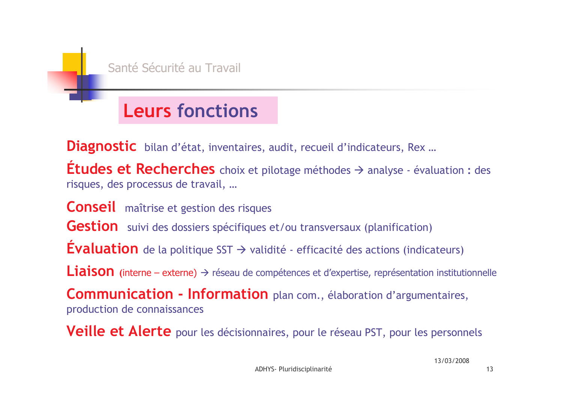

# **Leurs fonctions**

Diagnostic bilan d'état, inventaires, audit, recueil d'indicateurs, Rex ...

**Études et Recherches** choix et pilotage méthodes  $\rightarrow$  analyse - évaluation : des risques, des processus de travail, ...

**Conseil** maîtrise et gestion des risques **Gestion** suivi des dossiers spécifiques et/ou transversaux (planification) **Évaluation** de la politique SST  $\rightarrow$  validité - efficacité des actions (indicateurs) **Liaison** (interne – externe)  $\rightarrow$  réseau de compétences et d'expertise, représentation institutionnelle Communication - Information plan com., élaboration d'argumentaires,

production de connaissances

**Veille et Alerte** pour les décisionnaires, pour le réseau PST, pour les personnels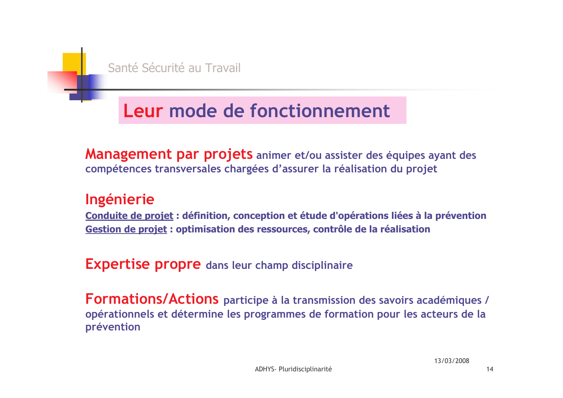# Leur mode de fonctionnement

Management par projets animer et/ou assister des équipes ayant des compétences transversales chargées d'assurer la réalisation du projet

#### Ingénierie

Conduite de projet : définition, conception et étude d'opérations liées à la prévention Gestion de projet : optimisation des ressources, contrôle de la réalisation

**Expertise propre** dans leur champ disciplinaire

Formations/Actions participe à la transmission des savoirs académiques / opérationnels et détermine les programmes de formation pour les acteurs de la prévention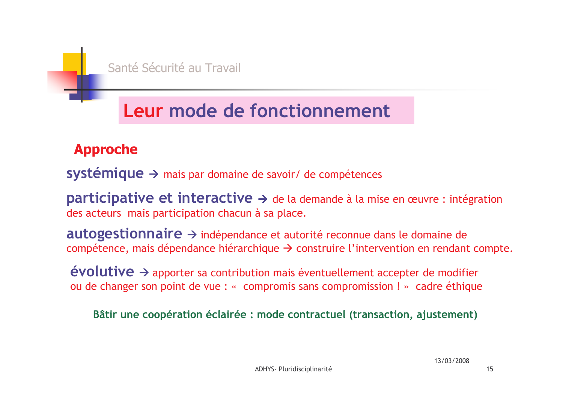# Leur mode de fonctionnement

#### **Approche**

**systémique**  $\rightarrow$  mais par domaine de savoir/ de compétences

**participative et interactive**  $\rightarrow$  **de la demande à la mise en œuvre : intégration** des acteurs mais participation chacun à sa place.

autogestionnaire → indépendance et autorité reconnue dans le domaine de compétence, mais dépendance hiérarchique  $\rightarrow$  construire l'intervention en rendant compte.

 $évolutive \rightarrow$  apporter sa contribution mais éventuellement accepter de modifier ou de changer son point de vue : « compromis sans compromission ! » cadre éthique

Bâtir une coopération éclairée : mode contractuel (transaction, ajustement)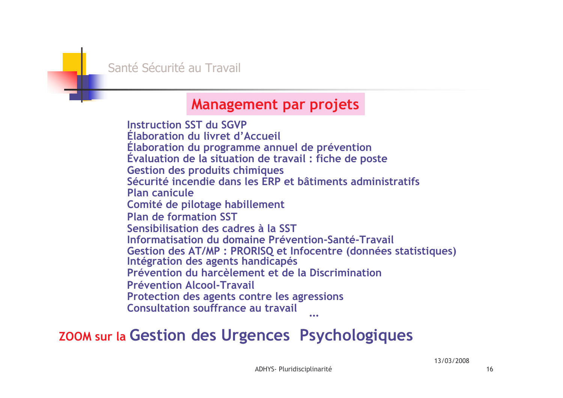

#### **Management par projets**

**Instruction SST du SGVP** Elaboration du livret d'Accueil Elaboration du programme annuel de prévention Evaluation de la situation de travail : fiche de poste **Gestion des produits chimiques** Sécurité incendie dans les ERP et bâtiments administratifs **Plan canicule** Comité de pilotage habillement **Plan de formation SST** Sensibilisation des cadres à la SST Informatisation du domaine Prévention-Santé-Travail Gestion des AT/MP : PRORISQ et Infocentre (données statistiques) Intégration des agents handicapés Prévention du harcèlement et de la Discrimination **Prévention Alcool-Travail** Protection des agents contre les agressions **Consultation souffrance au travail** 

## **ZOOM sur la Gestion des Urgences Psychologiques**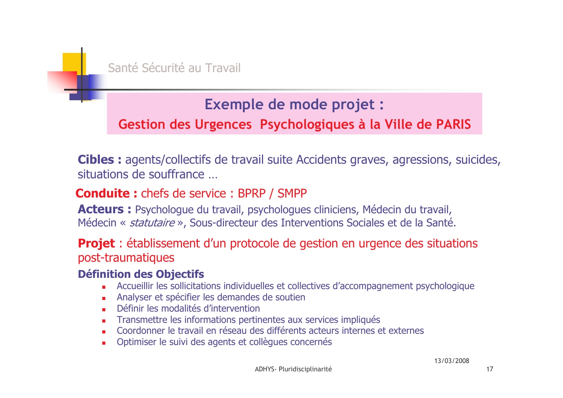

## **Exemple de mode projet :**

#### Gestion des Urgences Psychologiques à la Ville de PARIS

**Cibles :** agents/collectifs de travail suite Accidents graves, agressions, suicides, situations de souffrance

#### **Conduite:** chefs de service: BPRP / SMPP

**Acteurs :** Psychologue du travail, psychologues cliniciens, Médecin du travail, Médecin « *statutaire* », Sous-directeur des Interventions Sociales et de la Santé.

#### **Projet**: établissement d'un protocole de gestion en urgence des situations post-traumatiques

#### **Définition des Objectifs**

- Accueillir les sollicitations individuelles et collectives d'accompagnement psychologique
- Analyser et spécifier les demandes de soutien
- Définir les modalités d'intervention
- Transmettre les informations pertinentes aux services impliqués
- Coordonner le travail en réseau des différents acteurs internes et externes
- Optimiser le suivi des agents et collègues concernés  $\blacksquare$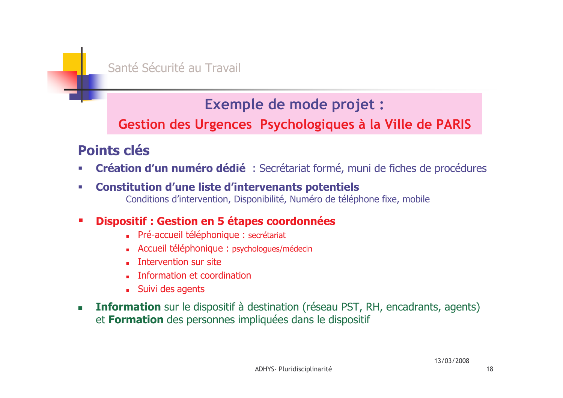

### **Exemple de mode projet :**

#### Gestion des Urgences Psychologiques à la Ville de PARIS

### **Points clés**

- Création d'un numéro dédié : Secrétariat formé, muni de fiches de procédures  $\mathcal{C}$
- **Constitution d'une liste d'intervenants potentiels** H.
	- Conditions d'intervention, Disponibilité, Numéro de téléphone fixe, mobile

#### Dispositif : Gestion en 5 étapes coordonnées  $\blacksquare$

- Pré-accueil téléphonique : secrétariat
- Accueil téléphonique : psychologues/médecin
- **Intervention sur site**
- Information et coordination
- Suivi des agents
- **Information** sur le dispositif à destination (réseau PST, RH, encadrants, agents)  $\mathbf{r}$ et **Formation** des personnes impliquées dans le dispositif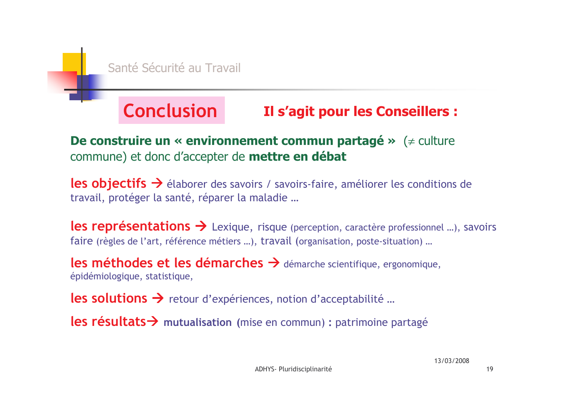#### **Conclusion Il s'agit pour les Conseillers :**

#### De construire un « environnement commun partagé » ( $\neq$  culture commune) et donc d'accepter de mettre en débat

**les objectifs**  $\rightarrow$  élaborer des savoirs / savoirs-faire, améliorer les conditions de travail, protéger la santé, réparer la maladie ...

**les représentations**  $\rightarrow$  Lexique, risque (perception, caractère professionnel ...), savoirs faire (règles de l'art, référence métiers ...), travail (organisation, poste-situation) ...

les méthodes et les démarches  $\rightarrow$  démarche scientifique, ergonomique, épidémiologique, statistique,

les solutions > retour d'expériences, notion d'acceptabilité ...

les résultats > mutualisation (mise en commun) : patrimoine partagé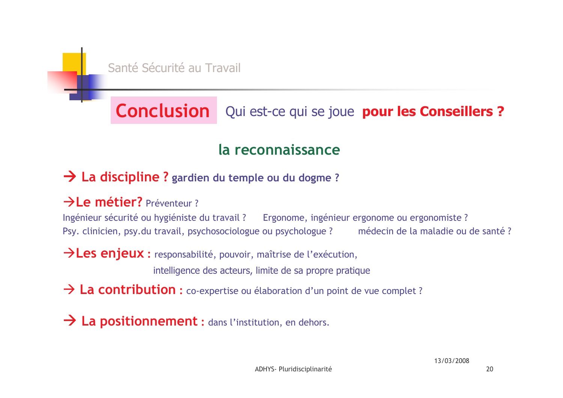

# **Conclusion** Qui est-ce qui se joue pour les Conseillers ?

### la reconnaissance

#### $\rightarrow$  La discipline ? gardien du temple ou du dogme ?

#### $\rightarrow$ Le métier? Préventeur?

Ingénieur sécurité ou hygiéniste du travail ? Ergonome, ingénieur ergonome ou ergonomiste ? Psy. clinicien, psy.du travail, psychosociologue ou psychologue? médecin de la maladie ou de santé?

 $\rightarrow$  Les enjeux : responsabilité, pouvoir, maîtrise de l'exécution,

intelligence des acteurs, limite de sa propre pratique

> La contribution : co-expertise ou élaboration d'un point de vue complet ?

> La positionnement : dans l'institution, en dehors.